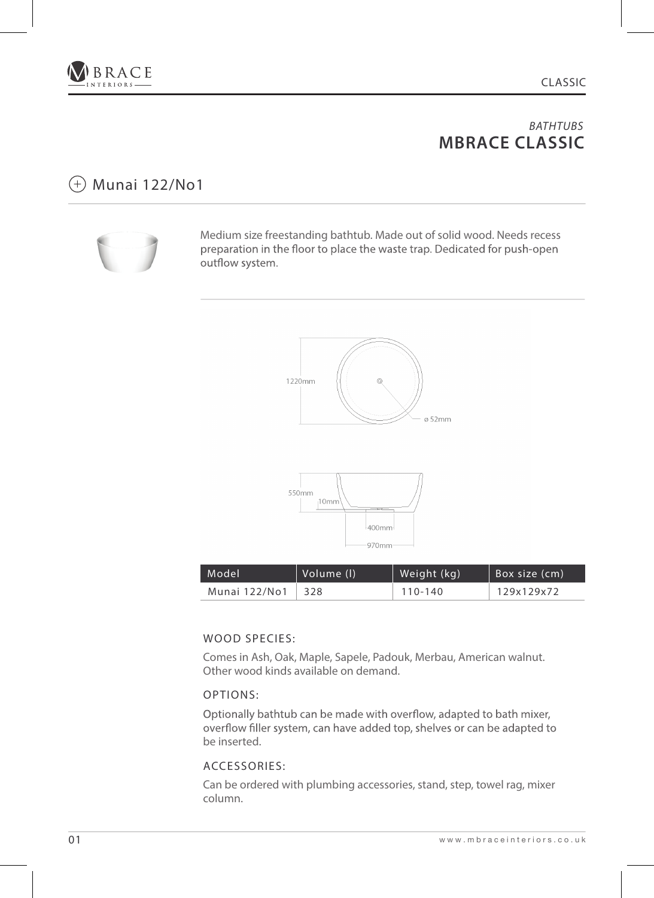

## Munai 122/No1



Medium size freestanding bathtub. Made out of solid wood. Needs recess preparation in the floor to place the waste trap. Dedicated for push-open outflow system.





| Model         | Volume (I) | Weight (kg) | Box size (cm) |
|---------------|------------|-------------|---------------|
| Munai 122/No1 | 328        | 110-140     | 129x129x72    |

### WOOD SPECIES:

Comes in Ash, Oak, Maple, Sapele, Padouk, Merbau, American walnut. Other wood kinds available on demand.

### OPTIONS:

Optionally bathtub can be made with overflow, adapted to bath mixer, overflow filler system, can have added top, shelves or can be adapted to be inserted.

### ACCESSORIES: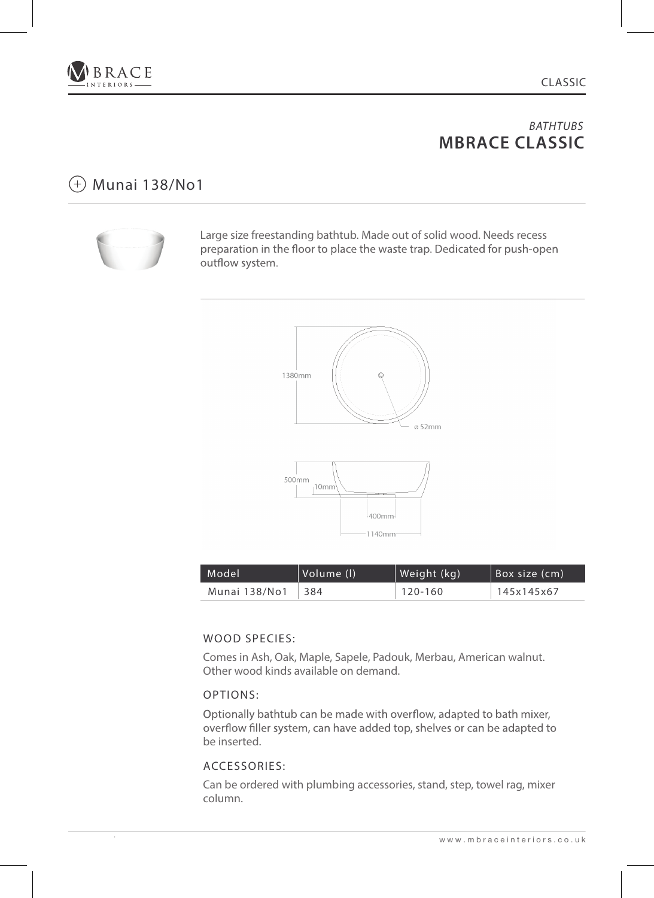

# $(+)$  Munai 138/No1



Large size freestanding bathtub. Made out of solid wood. Needs recess preparation in the floor to place the waste trap. Dedicated for push-open outflow system.



| Model         | Volume (I) | Weight (kg) | Box size (cm) |
|---------------|------------|-------------|---------------|
| Munai 138/No1 | 384        | 120-160     | 145x145x67    |

### WOOD SPECIES:

Comes in Ash, Oak, Maple, Sapele, Padouk, Merbau, American walnut. Other wood kinds available on demand.

### OPTIONS:

Optionally bathtub can be made with overflow, adapted to bath mixer, overflow filler system, can have added top, shelves or can be adapted to be inserted.

### ACCESSORIES: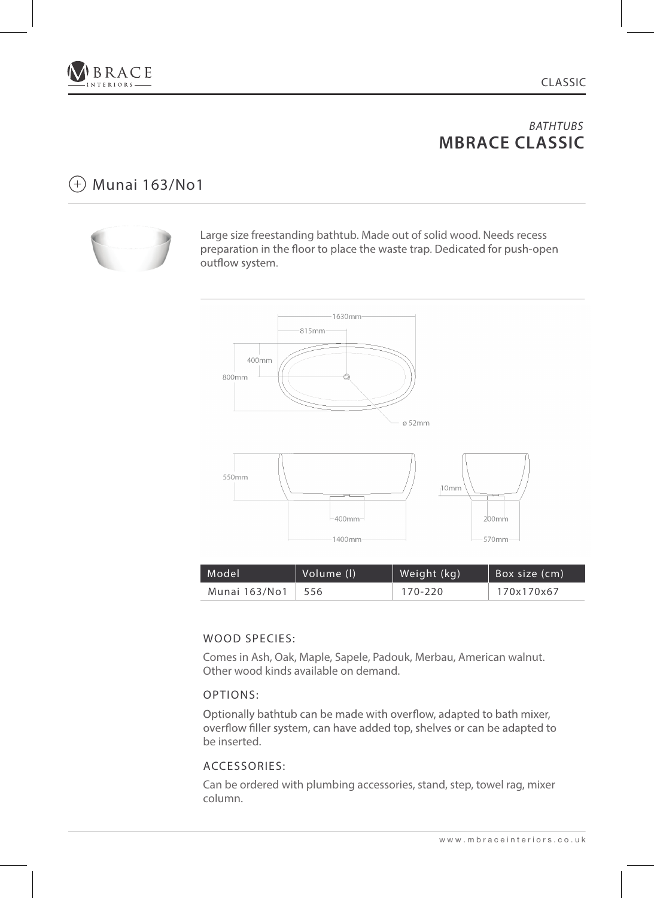

## $(+)$  Munai 163/No1



Large size freestanding bathtub. Made out of solid wood. Needs recess preparation in the floor to place the waste trap. Dedicated for push-open outflow system.



| Model         | Volume (I) | Weight (kg) | Box size (cm) |
|---------------|------------|-------------|---------------|
| Munai 163/No1 | -556       | 170-220     | 170x170x67    |

### WOOD SPECIES:

Comes in Ash, Oak, Maple, Sapele, Padouk, Merbau, American walnut. Other wood kinds available on demand.

### OPTIONS:

Optionally bathtub can be made with overflow, adapted to bath mixer, overflow filler system, can have added top, shelves or can be adapted to be inserted.

### ACCESSORIES: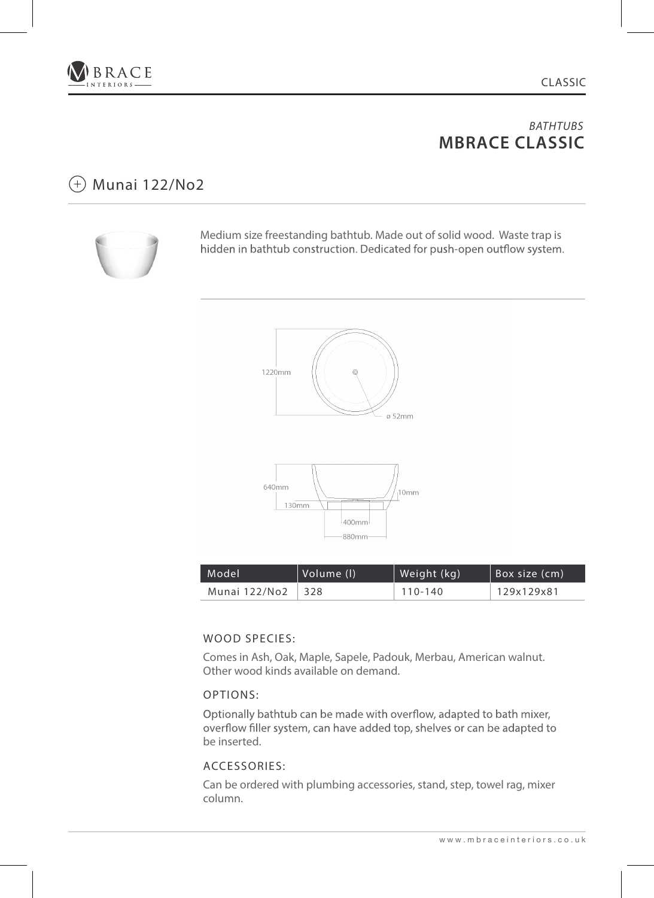

## Munai 122/No2



Medium size freestanding bathtub. Made out of solid wood. Waste trap is hidden in bathtub construction. Dedicated for push-open outflow system.





| Model         | Volume (I) | Weight (kg) | Box size (cm) |
|---------------|------------|-------------|---------------|
| Munai 122/No2 | 328        | 110-140     | 129x129x81    |

### WOOD SPECIES:

Comes in Ash, Oak, Maple, Sapele, Padouk, Merbau, American walnut. Other wood kinds available on demand.

### OPTIONS:

Optionally bathtub can be made with overflow, adapted to bath mixer, overflow filler system, can have added top, shelves or can be adapted to be inserted.

### ACCESSORIES: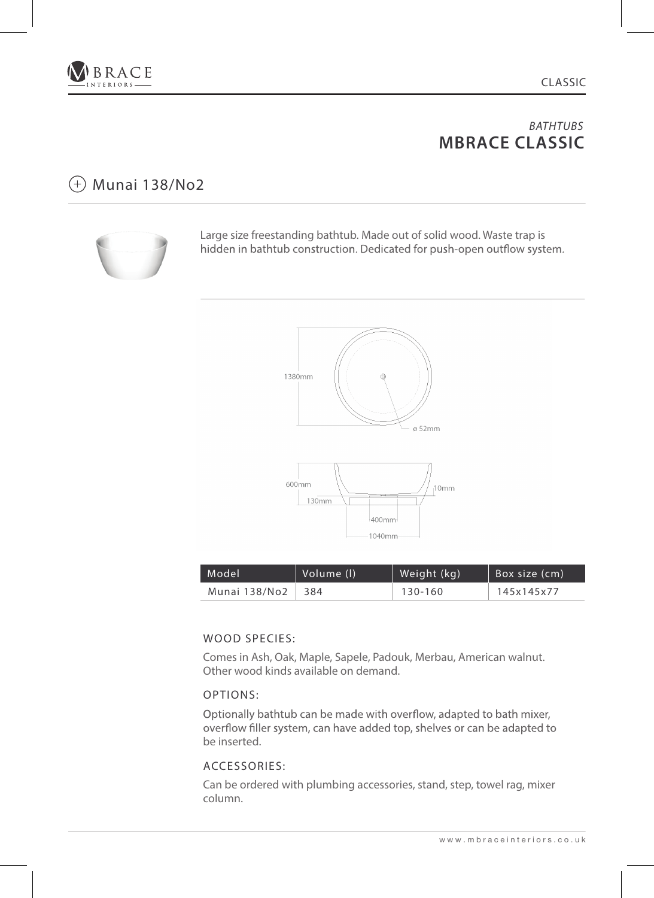

## Munai 138/No2



Large size freestanding bathtub. Made out of solid wood. Waste trap is hidden in bathtub construction. Dedicated for push-open outflow system.





| $\blacksquare$ Model $\blacksquare$ | Volume (I) | Weight (kg) | Box size (cm) |
|-------------------------------------|------------|-------------|---------------|
| Munai 138/No2                       | ∣ 384      | 130-160     | 145x145x77    |

### WOOD SPECIES:

Comes in Ash, Oak, Maple, Sapele, Padouk, Merbau, American walnut. Other wood kinds available on demand.

### OPTIONS:

Optionally bathtub can be made with overflow, adapted to bath mixer, overflow filler system, can have added top, shelves or can be adapted to be inserted.

### ACCESSORIES: